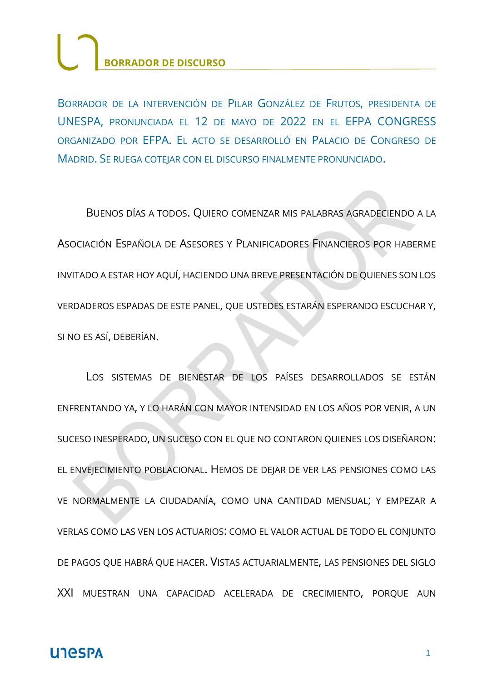BORRADOR DE LA INTERVENCIÓN DE PILAR GONZÁLEZ DE FRUTOS, PRESIDENTA DE UNESPA, PRONUNCIADA EL 12 DE MAYO DE 2022 EN EL EFPA CONGRESS ORGANIZADO POR EFPA. EL ACTO SE DESARROLLÓ EN PALACIO DE CONGRESO DE MADRID. SE RUEGA COTEIAR CON EL DISCURSO FINALMENTE PRONUNCIADO.

BUENOS DÍAS A TODOS. QUIERO COMENZAR MIS PALABRAS AGRADECIENDO A LA ASOCIACIÓN ESPAÑOLA DE ASESORES Y PLANIFICADORES FINANCIEROS POR HABERME INVITADO A ESTAR HOY AQUÍ, HACIENDO UNA BREVE PRESENTACIÓN DE QUIENES SON LOS VERDADEROS ESPADAS DE ESTE PANEL, QUE USTEDES ESTARÁN ESPERANDO ESCUCHAR Y, SI NO ES ASÍ, DEBERÍAN.

LOS SISTEMAS DE BIENESTAR DE LOS PAÍSES DESARROLLADOS SE ESTÁN ENFRENTANDO YA, Y LO HARÁN CON MAYOR INTENSIDAD EN LOS AÑOS POR VENIR, A UN SUCESO INESPERADO, UN SUCESO CON EL QUE NO CONTARON QUIENES LOS DISEÑARON: EL ENVEJECIMIENTO POBLACIONAL. HEMOS DE DEJAR DE VER LAS PENSIONES COMO LAS VE NORMALMENTE LA CIUDADANÍA, COMO UNA CANTIDAD MENSUAL; Y EMPEZAR A VERLAS COMO LAS VEN LOS ACTUARIOS: COMO EL VALOR ACTUAL DE TODO EL CONJUNTO DE PAGOS QUE HABRÁ QUE HACER. VISTAS ACTUARIALMENTE, LAS PENSIONES DEL SIGLO XXI MUESTRAN UNA CAPACIDAD ACELERADA DE CRECIMIENTO, PORQUE AUN

#### **UNESPA**

1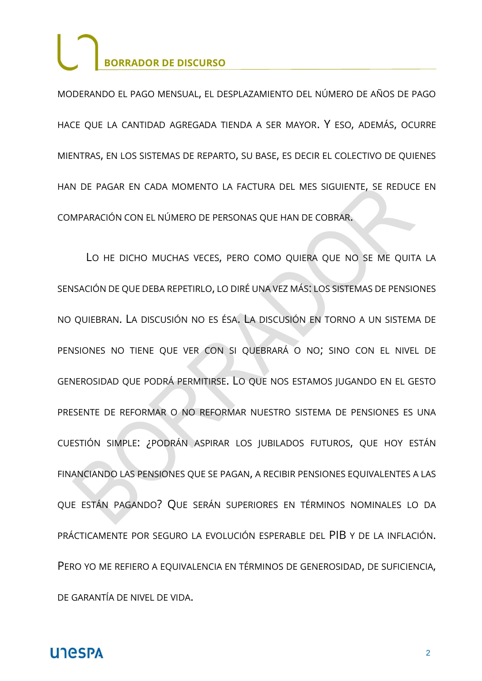MODERANDO EL PAGO MENSUAL, EL DESPLAZAMIENTO DEL NÚMERO DE AÑOS DE PAGO HACE QUE LA CANTIDAD AGREGADA TIENDA A SER MAYOR. Y ESO, ADEMÁS, OCURRE MIENTRAS, EN LOS SISTEMAS DE REPARTO, SU BASE, ES DECIR EL COLECTIVO DE QUIENES HAN DE PAGAR EN CADA MOMENTO LA FACTURA DEL MES SIGUIENTE, SE REDUCE EN COMPARACIÓN CON EL NÚMERO DE PERSONAS QUE HAN DE COBRAR.

LO HE DICHO MUCHAS VECES, PERO COMO QUIERA QUE NO SE ME QUITA LA SENSACIÓN DE QUE DEBA REPETIRLO, LO DIRÉ UNA VEZ MÁS: LOS SISTEMAS DE PENSIONES NO QUIEBRAN. LA DISCUSIÓN NO ES ÉSA. LA DISCUSIÓN EN TORNO A UN SISTEMA DE PENSIONES NO TIENE QUE VER CON SI QUEBRARÁ O NO; SINO CON EL NIVEL DE GENEROSIDAD QUE PODRÁ PERMITIRSE. LO QUE NOS ESTAMOS JUGANDO EN EL GESTO PRESENTE DE REFORMAR O NO REFORMAR NUESTRO SISTEMA DE PENSIONES ES UNA CUESTIÓN SIMPLE: ¿PODRÁN ASPIRAR LOS JUBILADOS FUTUROS, QUE HOY ESTÁN FINANCIANDO LAS PENSIONES QUE SE PAGAN, A RECIBIR PENSIONES EQUIVALENTES A LAS QUE ESTÁN PAGANDO? QUE SERÁN SUPERIORES EN TÉRMINOS NOMINALES LO DA PRÁCTICAMENTE POR SEGURO LA EVOLUCIÓN ESPERABLE DEL PIB Y DE LA INFLACIÓN. PERO YO ME REFIERO A EQUIVALENCIA EN TÉRMINOS DE GENEROSIDAD, DE SUFICIENCIA, DE GARANTÍA DE NIVEL DE VIDA.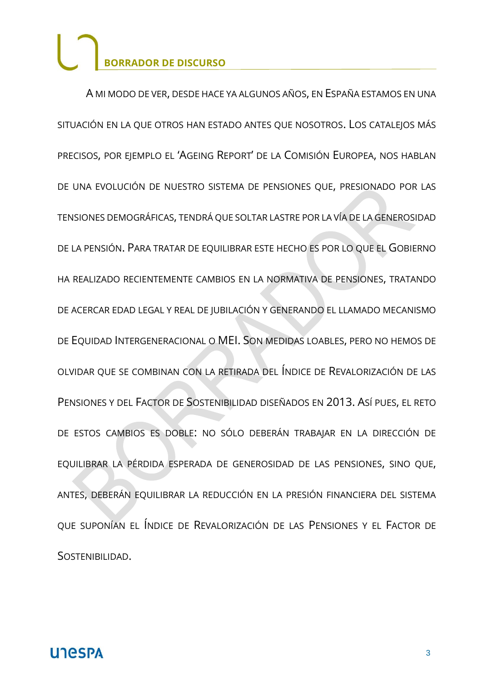A MI MODO DE VER, DESDE HACE YA ALGUNOS AÑOS, EN ESPAÑA ESTAMOS EN UNA SITUACIÓN EN LA QUE OTROS HAN ESTADO ANTES QUE NOSOTROS. LOS CATALEJOS MÁS PRECISOS, POR EJEMPLO EL 'AGEING REPORT' DE LA COMISIÓN EUROPEA, NOS HABLAN DE UNA EVOLUCIÓN DE NUESTRO SISTEMA DE PENSIONES QUE, PRESIONADO POR LAS TENSIONES DEMOGRÁFICAS, TENDRÁ QUE SOLTAR LASTRE POR LA VÍA DE LA GENEROSIDAD DE LA PENSIÓN. PARA TRATAR DE EQUILIBRAR ESTE HECHO ES POR LO QUE EL GOBIERNO HA REALIZADO RECIENTEMENTE CAMBIOS EN LA NORMATIVA DE PENSIONES, TRATANDO DE ACERCAR EDAD LEGAL Y REAL DE JUBILACIÓN Y GENERANDO EL LLAMADO MECANISMO DE EQUIDAD INTERGENERACIONAL O MEI. SON MEDIDAS LOABLES, PERO NO HEMOS DE OLVIDAR QUE SE COMBINAN CON LA RETIRADA DEL ÍNDICE DE REVALORIZACIÓN DE LAS PENSIONES Y DEL FACTOR DE SOSTENIBILIDAD DISEÑADOS EN 2013. ASÍ PUES, EL RETO DE ESTOS CAMBIOS ES DOBLE: NO SÓLO DEBERÁN TRABAJAR EN LA DIRECCIÓN DE EQUILIBRAR LA PÉRDIDA ESPERADA DE GENEROSIDAD DE LAS PENSIONES, SINO QUE, ANTES, DEBERÁN EQUILIBRAR LA REDUCCIÓN EN LA PRESIÓN FINANCIERA DEL SISTEMA QUE SUPONÍAN EL ÍNDICE DE REVALORIZACIÓN DE LAS PENSIONES Y EL FACTOR DE SOSTENIBILIDAD.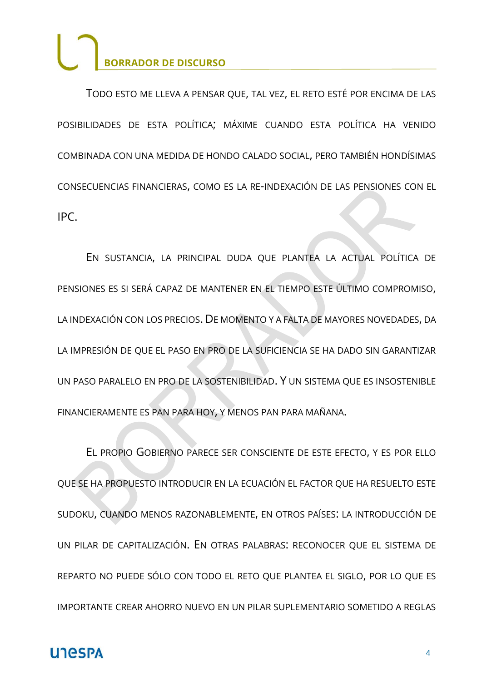TODO ESTO ME LLEVA A PENSAR QUE, TAL VEZ, EL RETO ESTÉ POR ENCIMA DE LAS POSIBILIDADES DE ESTA POLÍTICA; MÁXIME CUANDO ESTA POLÍTICA HA VENIDO COMBINADA CON UNA MEDIDA DE HONDO CALADO SOCIAL, PERO TAMBIÉN HONDÍSIMAS CONSECUENCIAS FINANCIERAS, COMO ES LA RE-INDEXACIÓN DE LAS PENSIONES CON EL IPC.

EN SUSTANCIA, LA PRINCIPAL DUDA QUE PLANTEA LA ACTUAL POLÍTICA DE PENSIONES ES SI SERÁ CAPAZ DE MANTENER EN EL TIEMPO ESTE ÚLTIMO COMPROMISO, LA INDEXACIÓN CON LOS PRECIOS. DE MOMENTO Y A FALTA DE MAYORES NOVEDADES, DA LA IMPRESIÓN DE QUE EL PASO EN PRO DE LA SUFICIENCIA SE HA DADO SIN GARANTIZAR UN PASO PARALELO EN PRO DE LA SOSTENIBILIDAD. Y UN SISTEMA QUE ES INSOSTENIBLE FINANCIERAMENTE ES PAN PARA HOY, Y MENOS PAN PARA MAÑANA.

EL PROPIO GOBIERNO PARECE SER CONSCIENTE DE ESTE EFECTO, Y ES POR ELLO QUE SE HA PROPUESTO INTRODUCIR EN LA ECUACIÓN EL FACTOR QUE HA RESUELTO ESTE SUDOKU, CUANDO MENOS RAZONABLEMENTE, EN OTROS PAÍSES: LA INTRODUCCIÓN DE UN PILAR DE CAPITALIZACIÓN. EN OTRAS PALABRAS: RECONOCER QUE EL SISTEMA DE REPARTO NO PUEDE SÓLO CON TODO EL RETO QUE PLANTEA EL SIGLO, POR LO QUE ES IMPORTANTE CREAR AHORRO NUEVO EN UN PILAR SUPLEMENTARIO SOMETIDO A REGLAS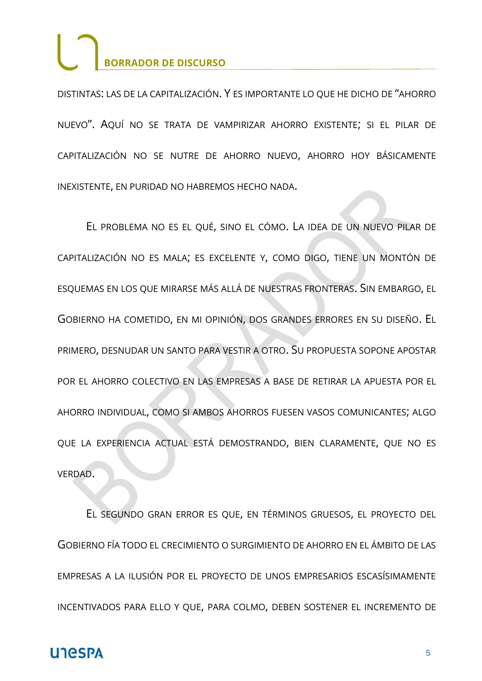DISTINTAS: LAS DE LA CAPITALIZACIÓN. Y ES IMPORTANTE LO QUE HE DICHO DE "AHORRO NUEVO". AQUÍ NO SE TRATA DE VAMPIRIZAR AHORRO EXISTENTE; SI EL PILAR DE CAPITALIZACIÓN NO SE NUTRE DE AHORRO NUEVO, AHORRO HOY BÁSICAMENTE INEXISTENTE, EN PURIDAD NO HABREMOS HECHO NADA.

EL PROBLEMA NO ES EL QUÉ, SINO EL CÓMO. LA IDEA DE UN NUEVO PILAR DE CAPITALIZACIÓN NO ES MALA; ES EXCELENTE Y, COMO DIGO, TIENE UN MONTÓN DE ESQUEMAS EN LOS QUE MIRARSE MÁS ALLÁ DE NUESTRAS FRONTERAS. SIN EMBARGO, EL GOBIERNO HA COMETIDO, EN MI OPINIÓN, DOS GRANDES ERRORES EN SU DISEÑO. EL PRIMERO, DESNUDAR UN SANTO PARA VESTIR A OTRO. SU PROPUESTA SOPONE APOSTAR POR EL AHORRO COLECTIVO EN LAS EMPRESAS A BASE DE RETIRAR LA APUESTA POR EL AHORRO INDIVIDUAL, COMO SI AMBOS AHORROS FUESEN VASOS COMUNICANTES; ALGO QUE LA EXPERIENCIA ACTUAL ESTÁ DEMOSTRANDO, BIEN CLARAMENTE, QUE NO ES VERDAD.

EL SEGUNDO GRAN ERROR ES QUE, EN TÉRMINOS GRUESOS, EL PROYECTO DEL GOBIERNO FÍA TODO EL CRECIMIENTO O SURGIMIENTO DE AHORRO EN EL ÁMBITO DE LAS EMPRESAS A LA ILUSIÓN POR EL PROYECTO DE UNOS EMPRESARIOS ESCASÍSIMAMENTE INCENTIVADOS PARA ELLO Y QUE, PARA COLMO, DEBEN SOSTENER EL INCREMENTO DE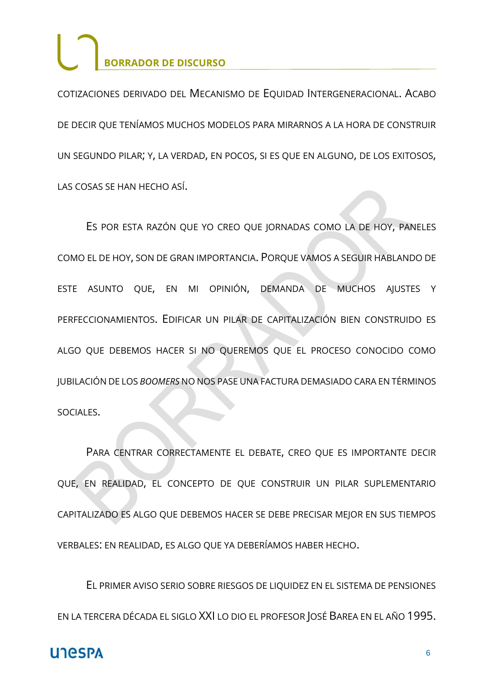COTIZACIONES DERIVADO DEL MECANISMO DE EQUIDAD INTERGENERACIONAL. ACABO DE DECIR QUE TENÍAMOS MUCHOS MODELOS PARA MIRARNOS A LA HORA DE CONSTRUIR UN SEGUNDO PILAR; Y, LA VERDAD, EN POCOS, SI ES QUE EN ALGUNO, DE LOS EXITOSOS, LAS COSAS SE HAN HECHO ASÍ.

ES POR ESTA RAZÓN QUE YO CREO QUE JORNADAS COMO LA DE HOY, PANELES COMO EL DE HOY, SON DE GRAN IMPORTANCIA. PORQUE VAMOS A SEGUIR HABLANDO DE ESTE ASUNTO QUE, EN MI OPINIÓN, DEMANDA DE MUCHOS AJUSTES Y PERFECCIONAMIENTOS. EDIFICAR UN PILAR DE CAPITALIZACIÓN BIEN CONSTRUIDO ES ALGO QUE DEBEMOS HACER SI NO QUEREMOS QUE EL PROCESO CONOCIDO COMO JUBILACIÓN DE LOS *BOOMERS* NO NOS PASE UNA FACTURA DEMASIADO CARA EN TÉRMINOS SOCIALES.

PARA CENTRAR CORRECTAMENTE EL DEBATE, CREO QUE ES IMPORTANTE DECIR QUE, EN REALIDAD, EL CONCEPTO DE QUE CONSTRUIR UN PILAR SUPLEMENTARIO CAPITALIZADO ES ALGO QUE DEBEMOS HACER SE DEBE PRECISAR MEJOR EN SUS TIEMPOS VERBALES: EN REALIDAD, ES ALGO QUE YA DEBERÍAMOS HABER HECHO.

EL PRIMER AVISO SERIO SOBRE RIESGOS DE LIQUIDEZ EN EL SISTEMA DE PENSIONES EN LA TERCERA DÉCADA EL SIGLO XXI LO DIO EL PROFESOR JOSÉ BAREA EN EL AÑO 1995.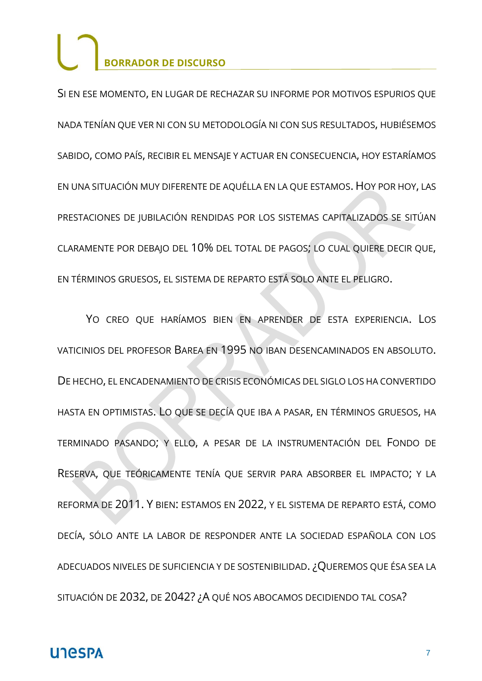SI EN ESE MOMENTO, EN LUGAR DE RECHAZAR SU INFORME POR MOTIVOS ESPURIOS QUE NADA TENÍAN QUE VER NI CON SU METODOLOGÍA NI CON SUS RESULTADOS, HUBIÉSEMOS SABIDO, COMO PAÍS, RECIBIR EL MENSAJE Y ACTUAR EN CONSECUENCIA, HOY ESTARÍAMOS EN UNA SITUACIÓN MUY DIFERENTE DE AQUÉLLA EN LA QUE ESTAMOS. HOY POR HOY, LAS PRESTACIONES DE JUBILACIÓN RENDIDAS POR LOS SISTEMAS CAPITALIZADOS SE SITÚAN CLARAMENTE POR DEBAJO DEL 10% DEL TOTAL DE PAGOS; LO CUAL QUIERE DECIR QUE, EN TÉRMINOS GRUESOS, EL SISTEMA DE REPARTO ESTÁ SOLO ANTE EL PELIGRO.

YO CREO QUE HARÍAMOS BIEN EN APRENDER DE ESTA EXPERIENCIA. LOS VATICINIOS DEL PROFESOR BAREA EN 1995 NO IBAN DESENCAMINADOS EN ABSOLUTO. DE HECHO, EL ENCADENAMIENTO DE CRISIS ECONÓMICAS DEL SIGLO LOS HA CONVERTIDO HASTA EN OPTIMISTAS. LO QUE SE DECÍA QUE IBA A PASAR, EN TÉRMINOS GRUESOS, HA TERMINADO PASANDO; Y ELLO, A PESAR DE LA INSTRUMENTACIÓN DEL FONDO DE RESERVA, QUE TEÓRICAMENTE TENÍA QUE SERVIR PARA ABSORBER EL IMPACTO; Y LA REFORMA DE 2011. Y BIEN: ESTAMOS EN 2022, Y EL SISTEMA DE REPARTO ESTÁ, COMO DECÍA, SÓLO ANTE LA LABOR DE RESPONDER ANTE LA SOCIEDAD ESPAÑOLA CON LOS ADECUADOS NIVELES DE SUFICIENCIA Y DE SOSTENIBILIDAD. ¿QUEREMOS QUE ÉSA SEA LA SITUACIÓN DE 2032, DE 2042? ¿A QUÉ NOS ABOCAMOS DECIDIENDO TAL COSA?